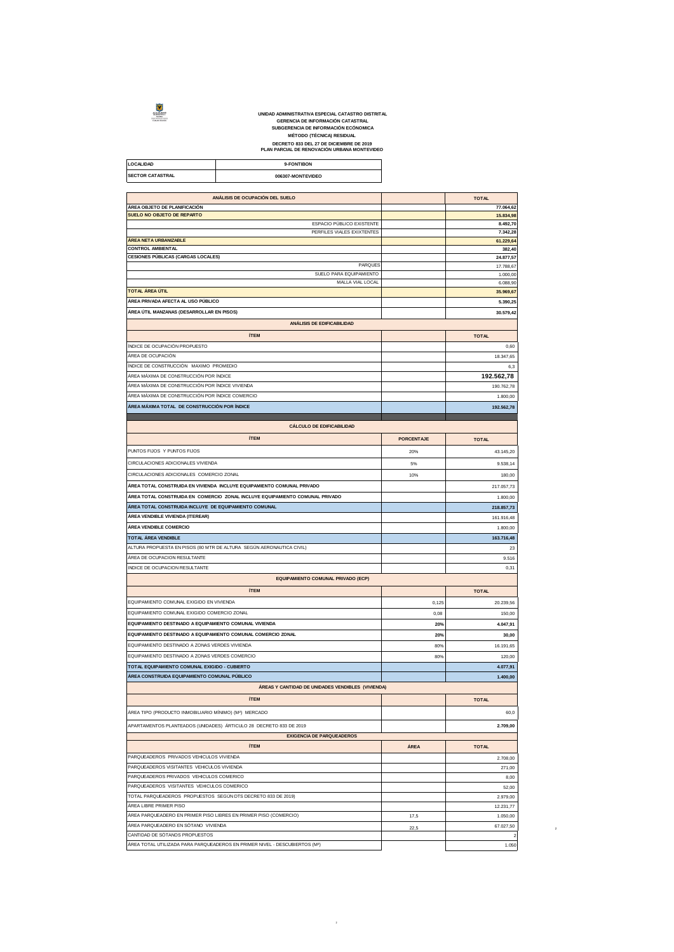

UNIDAD ADMINISTRATIVA ESPECIAL CATASTRO DISTRITAL<br>GERENCIA DE INFORMACIÓN ECÓNOMICA<br>SUBGERENCIA DE INFORMACIÓN ECÓNOMICA<br>MÉTODO (TÉCNICA) RESIDUAL<br>DECRETO 833 DEL 27 DE DICIEMBRE DE 2019<br>PLAN PARCIAL DE RENOVACIÓN URBANA M

**LOCALIDAD 9-FONTIBON SECTOR CATASTRAL 606307-MONTEVIDEO** 

| ANÁLISIS DE OCUPACIÓN DEL SUELO                                              |                   | <b>TOTAL</b>                                                                         |
|------------------------------------------------------------------------------|-------------------|--------------------------------------------------------------------------------------|
| ÁREA OBJETO DE PLANIFICACIÓN                                                 |                   | 77.064,62                                                                            |
| SUELO NO OBJETO DE REPARTO                                                   |                   | 15.834,98                                                                            |
| ESPACIO PÚBLICO EXISTENTE<br>PERFILES VIALES EXIXTENTES                      |                   | 8.492,70                                                                             |
| ÁREA NETA URBANIZABLE                                                        |                   | 7.342,28<br>61.229,64                                                                |
| <b>CONTROL AMBIENTAL</b>                                                     |                   | 382,40                                                                               |
| <b>CESIONES PÚBLICAS (CARGAS LOCALES)</b>                                    |                   | 24.877,57                                                                            |
| PARQUES                                                                      |                   | 17.788,67                                                                            |
| SUELO PARA EQUIPAMIENTO                                                      |                   | 1.000,00                                                                             |
| MALLA VIAL LOCAL                                                             |                   | 6.088,90                                                                             |
| <b>TOTAL ÁREA ÚTIL</b>                                                       |                   | 35.969,67                                                                            |
| ÁREA PRIVADA AFECTA AL USO PÚBLICO                                           |                   | 5.390,25                                                                             |
| ÁREA ÚTIL MANZANAS (DESARROLLAR EN PISOS)                                    |                   | 30.579,42                                                                            |
|                                                                              |                   |                                                                                      |
| ANÁLISIS DE EDIFICABILIDAD                                                   |                   |                                                                                      |
| <b>ÍTEM</b>                                                                  |                   | <b>TOTAL</b>                                                                         |
| ÍNDICE DE OCUPACIÓN PROPUESTO                                                |                   | 0,60                                                                                 |
| ÁREA DE OCUPACIÓN                                                            |                   | 18.347,65                                                                            |
| ÍNDICE DE CONSTRUCCIÓN MAXIMO PROMEDIO                                       |                   | 6,3                                                                                  |
|                                                                              |                   |                                                                                      |
| ÁREA MÁXIMA DE CONSTRUCCIÓN POR ÍNDICE                                       |                   | 192.562,78                                                                           |
| ÁREA MÁXIMA DE CONSTRUCCIÓN POR ÍNDICE VIVIENDA                              |                   | 190.762,78                                                                           |
| ÁREA MÁXIMA DE CONSTRUCCIÓN POR ÍNDICE COMERCIO                              |                   | 1.800,00                                                                             |
| ÁREA MÁXIMA TOTAL DE CONSTRUCCIÓN POR ÍNDICE                                 |                   | 192.562,78                                                                           |
|                                                                              |                   |                                                                                      |
| <b>CÁLCULO DE EDIFICABILIDAD</b>                                             |                   |                                                                                      |
| <b>ÍTEM</b>                                                                  | <b>PORCENTAJE</b> | <b>TOTAL</b>                                                                         |
|                                                                              |                   |                                                                                      |
| PUNTOS FIJOS Y PUNTOS FIJOS                                                  | 20%               | 43.145,20                                                                            |
| CIRCULACIONES ADICIONALES VIVIENDA                                           | 5%                | 9.538,14                                                                             |
| CIRCULACIONES ADICIONALES COMERCIO ZONAL                                     | 10%               | 180,00                                                                               |
|                                                                              |                   |                                                                                      |
| ÁREA TOTAL CONSTRUIDA EN VIVIENDA INCLUYE EQUIPAMIENTO COMUNAL PRIVADO       |                   | 217.057,73                                                                           |
| ÁREA TOTAL CONSTRUIDA EN COMERCIO ZONAL INCLUYE EQUIPAMIENTO COMUNAL PRIVADO |                   | 1.800,00                                                                             |
| ÁREA TOTAL CONSTRUIDA INCLUYE DE EQUIPAMIENTO COMUNAL                        |                   | 218.857,73                                                                           |
| ÁREA VENDIBLE VIVIENDA (ITEREAR)                                             |                   | 161.916,48                                                                           |
| ÁREA VENDIBLE COMERCIO                                                       |                   | 1.800,00                                                                             |
|                                                                              |                   |                                                                                      |
| TOTAL ÁREA VENDIBLE                                                          |                   | 163.716,48                                                                           |
| ALTURA PROPUESTA EN PISOS (80 MTR DE ALTURA SEGÚN AERONAUTICA CIVIL)         |                   | 23                                                                                   |
| ÁREA DE OCUPACION RESULTANTE                                                 |                   | 9.516                                                                                |
| INDICE DE OCUPACION RESULTANTE                                               |                   | 0,31                                                                                 |
| EQUIPAMIENTO COMUNAL PRIVADO (ECP)                                           |                   |                                                                                      |
| <b>ÍTEM</b>                                                                  |                   | <b>TOTAL</b>                                                                         |
|                                                                              |                   |                                                                                      |
| EQUIPAMIENTO COMUNAL EXIGIDO EN VIVIENDA                                     | 0.125             | 20.239,56                                                                            |
| EQUIPAMIENTO COMUNAL EXIGIDO COMERCIO ZONAL                                  | 0,08              | 150,00                                                                               |
| EQUIPAMIENTO DESTINADO A EQUIPAMIENTO COMUNAL VIVIENDA                       |                   |                                                                                      |
|                                                                              | 20%               |                                                                                      |
| EQUIPAMIENTO DESTINADO A EQUIPAMIENTO COMUNAL COMERCIO ZONAL                 | 20%               |                                                                                      |
|                                                                              |                   |                                                                                      |
| EQUIPAMIENTO DESTINADO A ZONAS VERDES VIVIENDA                               | 80%               |                                                                                      |
| EQUIPAMIENTO DESTINADO A ZONAS VERDES COMERCIO                               | 80%               |                                                                                      |
| TOTAL EQUIPAMIENTO COMUNAL EXIGIDO - CUBIERTO                                |                   |                                                                                      |
| ÁREA CONSTRUIDA EQUIPAMIENTO COMUNAL PÚBLICO                                 |                   |                                                                                      |
| ÁREAS Y CANTIDAD DE UNIDADES VENDIBLES (VIVIENDA)                            |                   |                                                                                      |
|                                                                              |                   |                                                                                      |
| <b>ÍTEM</b>                                                                  |                   | <b>TOTAL</b>                                                                         |
| ÁREA TIPO (PRODUCTO INMOBILIARIO MÍNIMO) (M <sup>2</sup> ) MERCADO           |                   |                                                                                      |
| APARTAMENTOS PLANTEADOS (UNIDADES) ÁRTICULO 28 DECRETO 833 DE 2019           |                   | 4.047,91<br>30,00<br>16.191,65<br>120,00<br>4.077,91<br>1.400,00<br>60,0<br>2.709,00 |
|                                                                              |                   |                                                                                      |
| <b>EXIGENCIA DE PARQUEADEROS</b>                                             |                   |                                                                                      |
| <b>ÍTEM</b>                                                                  | ÁREA              | <b>TOTAL</b>                                                                         |
| PARQUEADEROS PRIVADOS VEHICULOS VIVIENDA                                     |                   |                                                                                      |
| PARQUEADEROS VISITANTES VEHICULOS VIVIENDA                                   |                   |                                                                                      |
| PARQUEADEROS PRIVADOS VEHICULOS COMERICO                                     |                   |                                                                                      |
| PARQUEADEROS VISITANTES VEHICULOS COMERICO                                   |                   |                                                                                      |
| TOTAL PARQUEADEROS PROPUESTOS SEGÚN DTS DECRETO 833 DE 2019)                 |                   |                                                                                      |
| ÁREA LIBRE PRIMER PISO                                                       |                   | 2.708,00<br>271,00<br>8,00<br>52,00<br>2.979,00                                      |
|                                                                              |                   | 12.231,77                                                                            |
| ÁREA PARQUEADERO EN PRIMER PISO LIBRES EN PRIMER PISO (COMERCIO)             | 17,5              | 1.050.00                                                                             |
| ÁREA PARQUEADERO EN SÓTANO VIVIENDA                                          | 22,5              | 67.027,50                                                                            |
| CANTIDAD DE SÓTANOS PROPUESTOS                                               |                   | $\overline{\mathbf{c}}$                                                              |
| ÁREA TOTAL UTILIZADA PARA PARQUEADEROS EN PRIMER NIVEL - DESCUBIERTOS (M2)   |                   | 1.050                                                                                |